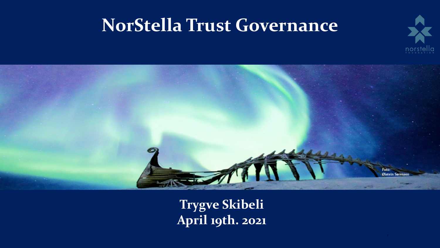# **NorStella Trust Governance**





**Trygve Skibeli April 19th. 2021**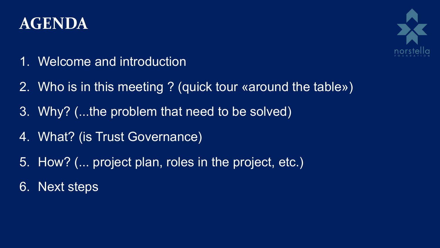# **AGENDA**



- 1. Welcome and introduction
- 2. Who is in this meeting ? (quick tour «around the table»)
- 3. Why? (...the problem that need to be solved)
- 4. What? (is Trust Governance)
- 5. How? (... project plan, roles in the project, etc.)
- 6. Next steps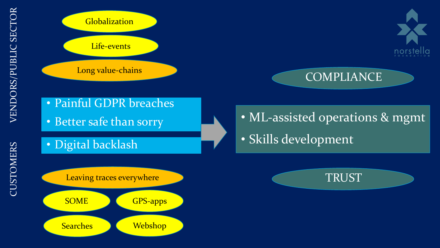CUSTOMERS



**Searches Webshop**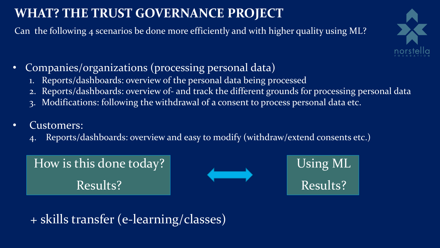### **WHAT? THE TRUST GOVERNANCE PROJECT**

Can the following 4 scenarios be done more efficiently and with higher quality using ML?



- Companies/organizations (processing personal data)
	- 1. Reports/dashboards: overview of the personal data being processed
	- 2. Reports/dashboards: overview of- and track the different grounds for processing personal data
	- 3. Modifications: following the withdrawal of a consent to process personal data etc.

#### • Customers:

Reports/dashboards: overview and easy to modify (withdraw/extend consents etc.)

How is this done today? Results?



Using ML Results?

+ skills transfer (e-learning/classes)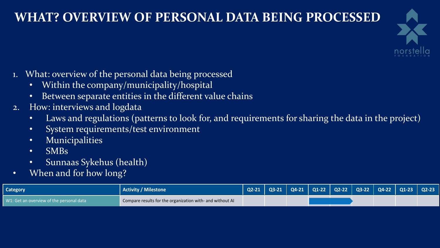### **WHAT? OVERVIEW OF PERSONAL DATA BEING PROCESSED**



- 1. What: overview of the personal data being processed
	- Within the company/municipality/hospital
	- Between separate entities in the different value chains
- 2. How: interviews and logdata
	- Laws and regulations (patterns to look for, and requirements for sharing the data in the project)
	- System requirements/test environment
	- Municipalities
	- SMBs
- **Category •** Sunnaas Sykehus (health), **Milestone Q2-211 Q3-21 Q2-222 Q2-222 Q2-222 Q2-21 Q2-22 Q2-222 Q2-222 Q2-222 Q2-222 Q2-2222 Q2-2222 Q2-2322 Q2-2222 Q2-22222 Q2-22222 Q2-22222**
	- When and for how long? Get the project group up to a minimum competence level

| <b>Category</b>                          | Activity / Milestone                                      |  |  |  | Q2-21   Q3-21   Q4-21   Q1-22   Q2-22   Q3-22   Q4-22   Q1-23   Q2-23 |  |
|------------------------------------------|-----------------------------------------------------------|--|--|--|-----------------------------------------------------------------------|--|
| W1: Get an overview of the personal data | Compare results for the organization with- and without AI |  |  |  |                                                                       |  |

W4: Easy to understand privacy reports/dashboards Compare results for the customers with- and without AI personal data (status and planning updates) Compare results for the organization with- and without AI W2: Get an overview of the grounds for processing

W1: Get an overview of the personal data Compare results for the organization with<br>Compare results for the organization with Compare results for the organization with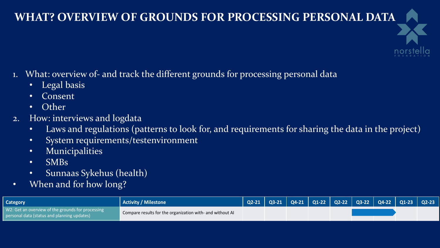#### **WHAT? OVERVIEW OF GROUNDS FOR PROCESSING PERSONAL DATA**



- 1. What: overview of- and track the different grounds for processing personal data
	- Legal basis
	- **Consent**
	- Other
- 2. How: interviews and logdata
	- Laws and regulations (patterns to look for, and requirements for sharing the data in the project)
	- System requirements/testenvironment
	- Municipalities

• SMBs

- 
- $\blacksquare$  Category  $\blacksquare$   $\blacksquare$   $\blacksquare$   $\blacksquare$   $\blacksquare$   $\blacksquare$   $\blacksquare$   $\blacksquare$   $\blacksquare$   $\blacksquare$   $\blacksquare$   $\blacksquare$   $\blacksquare$   $\blacksquare$   $\blacksquare$   $\blacksquare$   $\blacksquare$   $\blacksquare$   $\blacksquare$   $\blacksquare$   $\blacksquare$   $\blacksquare$   $\blacksquare$   $\blacksquare$   $\blacksquare$   $\blacksquare$   $\blacksquare$   $\blacksquare$   $\blacksquare$   $\bl$ 
	- Sunnaas Sykehus (health) ect group up to a minimum competence level

Preparatory WW hackage and for how long?

| Category                                                                                                     | Activity / Milestone                                      |  | Q2-21   Q3-21   Q4-21   Q1-22   Q2-22   Q3-22   Q4-22   Q1-23   Q2-23 <sup> </sup> |  |  |  |
|--------------------------------------------------------------------------------------------------------------|-----------------------------------------------------------|--|------------------------------------------------------------------------------------|--|--|--|
| $\parallel$ W2: Get an overview of the grounds for processing<br>personal data (status and planning updates) | Compare results for the organization with- and without AI |  |                                                                                    |  |  |  |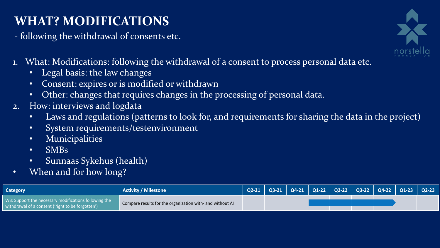# **WHAT? MODIFICATIONS**

- following the withdrawal of consents etc.



- 1. What: Modifications: following the withdrawal of a consent to process personal data etc.
	- Legal basis: the law changes
	- Consent: expires or is modified or withdrawn
	- Other: changes that requires changes in the processing of personal data.
- 2. How: interviews and logdata
	- Laws and regulations (patterns to look for, and requirements for sharing the data in the project)
	- System requirements/testenvironment
- **Category •** Municipalities activity/Milestone **Q2-211 Q3-211 Q3-211 Q2-211 Q3-21 Q3-21 Q3-21 Q3-21 Q2-211 Q3-212 Q3-222 Q3-222 Q3-222 Q3-222 Q3-222 Q3-222 Q3-222 Q3-222 Q3-222 Q3-222** 
	- SMBs Get the project group up to a minimum competence level
- Preparatory work package  $\mathop{\rm Sym}\nolimits$   $\mathop{\rm Sym}\nolimits$   $\mathop{\rm Sym}\nolimits$   $\mathop{\rm Sym}\nolimits$   $\mathop{\rm Sym}\nolimits$ Preparing the systems needed for the research activities
- When and for how long? Compare results for the personal data Compare results for the organization with  $\sim$

| <b>Category</b>                                                                                            | <b>Activity / Milestone</b>                               | $Q2-21$ |  | Q3-21   Q4-21   Q1-22   Q2-22   Q3-22   Q4-22 <u>  Q1-23   Q2-23</u> |  |  |
|------------------------------------------------------------------------------------------------------------|-----------------------------------------------------------|---------|--|----------------------------------------------------------------------|--|--|
| W3: Support the necessary modifications following the<br>withdrawal of a consent ('right to be forgotten') | Compare results for the organization with- and without AI |         |  |                                                                      |  |  |
| W1: Get an overview of the personal data                                                                   | Compare results for the organization with                 |         |  |                                                                      |  |  |

የዎጀም ା et in werk packagethe grounds for processing personal data (status and planning updates)

Execution the communication with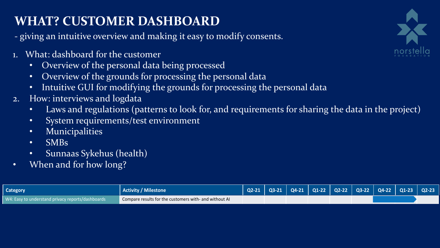## **WHAT? CUSTOMER DASHBOARD**

- giving an intuitive overview and making it easy to modify consents.

- 1. What: dashboard for the customer
	- Overview of the personal data being processed
	- Overview of the grounds for processing the personal data
	- Intuitive GUI for modifying the grounds for processing the personal data
- 2. How: interviews and logdata
	- Laws and regulations (patterns to look for, and requirements for sharing the data in the project)
- **Category •** System requirements/test environment<br> **Category •** System requirements/test environment
	- **Municipalities**

Get the project group up to a minimum competence level

Preparing the systems needed for the research activities

- **•** Sunnaas Sykehus (health)<br>W1: Get an overview of the personal data Vicentus (Compare results for the organization with
- When and for how long?

ompare results for the organization with

| Category                                          | <b>Activity / Milestone</b>                            |  | Q2-21   Q3-21   Q4-21   Q1-22   Q2-22   Q3-22   Q4-22   Q1-23   Q2-23 |  |  |  |
|---------------------------------------------------|--------------------------------------------------------|--|-----------------------------------------------------------------------|--|--|--|
| W4: Easy to understand privacy reports/dashboards | Compare results for the customers with- and without AI |  |                                                                       |  |  |  |

Preparatory work package  ${\rm BS}$ 

W1: Get an overview of the personal data and with- and with- compare results for the organization with- and with-

W2: Get an overview of the grounds for processing personal data (status and planning updates) Compare results for the organization with-

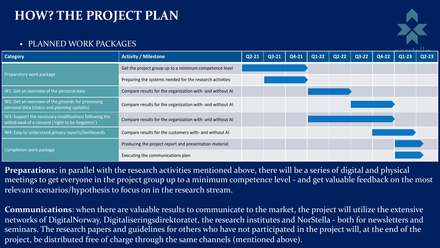#### **HOW? THE PROJECT PLAN**

#### • PLANNED WORK PACKAGES

| Category                                                                                                   | <b>Activity / Milestone</b>                               | $Q2 - 21$ | Q3-21 | Q4-21 | Q1-22 | Q2-22 | $Q3-22$ | Q4-22 | Q1-23 | $Q2-23$ |
|------------------------------------------------------------------------------------------------------------|-----------------------------------------------------------|-----------|-------|-------|-------|-------|---------|-------|-------|---------|
|                                                                                                            | Get the project group up to a minimum competence level    |           |       |       |       |       |         |       |       |         |
| <b>Preparatory work package</b>                                                                            | Preparing the systems needed for the research activities  |           |       |       |       |       |         |       |       |         |
| W1: Get an overview of the personal data                                                                   | Compare results for the organization with- and without AI |           |       |       |       |       |         |       |       |         |
| W2: Get an overview of the grounds for processing<br>personal data (status and planning updates)           | Compare results for the organization with- and without AI |           |       |       |       |       |         |       |       |         |
| W3: Support the necessary modifications following the<br>withdrawal of a consent ('right to be forgotten') | Compare results for the organization with- and without AI |           |       |       |       |       |         |       |       |         |
| W4: Easy to understand privacy reports/dashboards                                                          | Compare results for the customers with- and without AI    |           |       |       |       |       |         |       |       |         |
|                                                                                                            | Producing the project report and presentation material    |           |       |       |       |       |         |       |       |         |
| Completion work package                                                                                    | Executing the communications plan                         |           |       |       |       |       |         |       |       |         |

**Preparations**: in parallel with the research activities mentioned above, there will be a series of digital and physical meetings to get everyone in the project group up to a minimum competence level - and get valuable feedback on the most relevant scenarios/hypothesis to focus on in the research stream.

**Communications**: when there are valuable results to communicate to the market, the project will utilize the extensive networks of DigitalNorway, Digitaliseringsdirektoratet, the research institutes and NorStella - both for newsletters and seminars. The research papers and guidelines for others who have not participated in the project will, at the end of the project, be distributed free of charge through the same channels (mentioned above).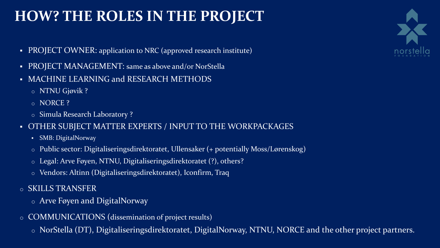# **HOW? THE ROLES IN THE PROJECT**

- PROJECT OWNER: application to NRC (approved research institute)
- PROJECT MANAGEMENT: same as above and/or NorStella
- MACHINE LEARNING and RESEARCH METHODS
	- o NTNU Gjøvik ?
	- o NORCE ?
	- o Simula Research Laboratory ?
- § OTHER SUBJECT MATTER EXPERTS / INPUT TO THE WORKPACKAGES
	- § SMB: DigitalNorway
	- o Public sector: Digitaliseringsdirektoratet, Ullensaker (+ potentially Moss/Lørenskog)
	- o Legal: Arve Føyen, NTNU, Digitaliseringsdirektoratet (?), others?
	- o Vendors: Altinn (Digitaliseringsdirektoratet), Iconfirm, Traq
- o SKILLS TRANSFER
	- o Arve Føyen and DigitalNorway
- o COMMUNICATIONS (dissemination of project results)
	- o NorStella (DT), Digitaliseringsdirektoratet, DigitalNorway, NTNU, NORCE and the other project partners.

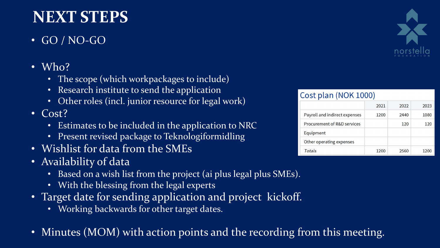# **NEXT STEPS**

- GO / NO-GO
- Who?
	- The scope (which workpackages to include)
	- Research institute to send the application
	- Other roles (incl. junior resource for legal work)
- Cost?
	- Estimates to be included in the application to NRC
	- Present revised package to Teknologiformidling
- Wishlist for data from the SMEs
- Availability of data
	- Based on a wish list from the project (ai plus legal plus SMEs).
	- With the blessing from the legal experts
- Target date for sending application and project kickoff.
	- Working backwards for other target dates.
- Minutes (MOM) with action points and the recording from this meeting.



| Cost plan (NOK 1000)          |      |      |      |
|-------------------------------|------|------|------|
|                               | 2021 | 2022 | 2023 |
| Payroll and indirect expenses | 1200 | 2440 | 1080 |
| Procurement of R&D services   |      | 120  | 120  |
| Equipment                     |      |      |      |
| Other operating expenses      |      |      |      |
| Totals                        | 1200 | 2560 | 1200 |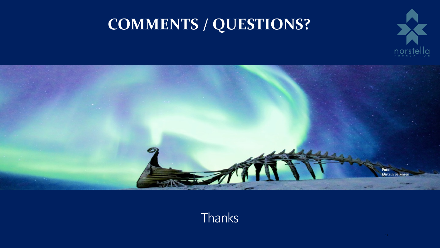# norst la  $\ddot{\mathbf{e}}$

# **COMMENTS / QUESTIONS?**



#### **Thanks**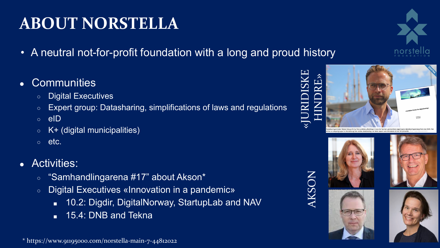# **ABOUT NORSTELLA**

- A neutral not-for-profit foundation with a long and proud history
- Communities
	- Digital Executives
	- Expert group: Datasharing, simplifications of laws and regulations
	- eID
	- $\circ$  K+ (digital municipalities)
	- etc.
- Activities:
	- $\circ$ "Samhandlingarena #17" about Akson\*
	- Digital Executives «Innovation in a pandemic»
		- 10.2: Digdir, DigitalNorway, StartupLab and NAV
		- 15.4: DNB and Tekna

\* https://www.91195000.com/norstella-main-7-44812022

# AKSON «JURIDISKE HINDRE»

**SN** 







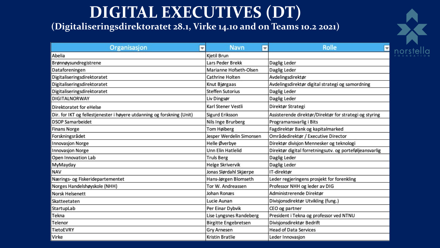# **DIGITAL EXECUTIVES (DT)**

#### **(Digitaliseringsdirektoratet 28.1, Virke 14.10 and on Teams 10.2 2021)**



| Organisasjon<br>v                                                      | <b>Navn</b><br>$\overline{\phantom{a}}$ | <b>Rolle</b><br>$\overline{\phantom{a}}$                |
|------------------------------------------------------------------------|-----------------------------------------|---------------------------------------------------------|
| Abelia                                                                 | Kjetil Brun                             |                                                         |
| Brønnøysundregistrene                                                  | Lars Peder Brekk                        | Daglig Leder                                            |
| Dataforeningen                                                         | Marianne Hofseth-Olsen                  | Daglig Leder                                            |
| Digitaliseringsdirektoratet                                            | Cathrine Holten                         | Avdelingsdirektør                                       |
| Digitaliseringsdirektoratet                                            | Knut Bjørgaas                           | Avdelingsdirektør digital strategi og samordning        |
| Digitaliseringsdirektoratet                                            | <b>Steffen Sutorius</b>                 | Daglig Leder                                            |
| <b>DIGITALNORWAY</b>                                                   | Liv Dingsør                             | Daglig Leder                                            |
| Direktoratet for eHelse                                                | Karl Stener Vestli                      | Direktør Strategi                                       |
| Dir. for IKT og fellestjenester i høyere utdanning og forskning (Unit) | Sigurd Eriksson                         | Assisterende direktør/Direktør for strategi og styring  |
| <b>DSOP Samarbeidet</b>                                                | Nils Inge Brurberg                      | Programansvarlig i Bits                                 |
| <b>Finans Norge</b>                                                    | Tom Høiberg                             | Fagdirektør Bank og kapitalmarked                       |
| Forskningsrådet                                                        | Jesper Werdelin Simonsen                | Områdedirektør / Executive Director                     |
| Innovasjon Norge                                                       | Helle Øverbye                           | Direktør divisjon Mennesker og teknologi                |
| <b>Innovasjon Norge</b>                                                | Unn Elin Hatlelid                       | Direktør digital forretningsutv. og porteføljeansvarlig |
| Open Innovation Lab                                                    | <b>Truls Berg</b>                       | Daglig Leder                                            |
| MyMayday                                                               | Helge Skrivervik                        | Daglig Leder                                            |
| <b>NAV</b>                                                             | Jonas Slørdahl Skjærpe                  | IT-direktør                                             |
| Nærings- og Fiskeridepartementet                                       | Hans-Jørgen Blomseth                    | Leder regjeringens prosjekt for forenkling              |
| Norges Handelshøyskole (NHH)                                           | Tor W. Andreassen                       | Professor NHH og leder av DIG                           |
| <b>Norsk Helsenett</b>                                                 | Johan Ronæs                             | Administrerende Direktør                                |
| Skatteetaten                                                           | Lucie Aunan                             | Divisjonsdirektør Utvikling (fung.)                     |
| StartupLab                                                             | Per Einar Dybvik                        | CEO og partner                                          |
| Tekna                                                                  | Lise Lyngsnes Randeberg                 | President i Tekna og professor ved NTNU                 |
| Telenor                                                                | <b>Birgitte Engebretsen</b>             | Divisjonsdirektør Bedrift                               |
| TietoEVRY                                                              | Gry Arnesen                             | <b>Head of Data Services</b>                            |
| Virke                                                                  | Kristin Bratlie                         | Leder Innovasjon                                        |